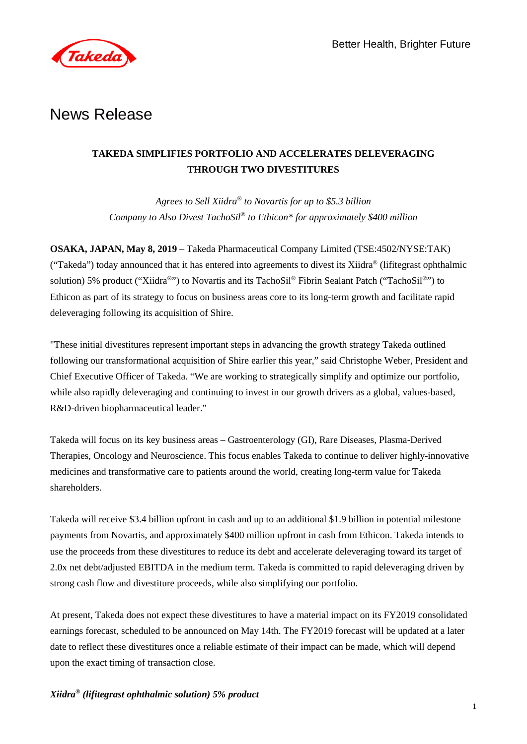

# News Release

## **TAKEDA SIMPLIFIES PORTFOLIO AND ACCELERATES DELEVERAGING THROUGH TWO DIVESTITURES**

*Agrees to Sell Xiidra® to Novartis for up to \$5.3 billion Company to Also Divest TachoSil® to Ethicon\* for approximately \$400 million*

**OSAKA, JAPAN, May 8, 2019** – Takeda Pharmaceutical Company Limited (TSE:4502/NYSE:TAK) ("Takeda") today announced that it has entered into agreements to divest its Xiidra® (lifitegrast ophthalmic solution) 5% product ("Xiidra®") to Novartis and its TachoSil® Fibrin Sealant Patch ("TachoSil®") to Ethicon as part of its strategy to focus on business areas core to its long-term growth and facilitate rapid deleveraging following its acquisition of Shire.

"These initial divestitures represent important steps in advancing the growth strategy Takeda outlined following our transformational acquisition of Shire earlier this year," said Christophe Weber, President and Chief Executive Officer of Takeda. "We are working to strategically simplify and optimize our portfolio, while also rapidly deleveraging and continuing to invest in our growth drivers as a global, values-based, R&D-driven biopharmaceutical leader."

Takeda will focus on its key business areas – Gastroenterology (GI), Rare Diseases, Plasma-Derived Therapies, Oncology and Neuroscience. This focus enables Takeda to continue to deliver highly-innovative medicines and transformative care to patients around the world, creating long-term value for Takeda shareholders.

Takeda will receive \$3.4 billion upfront in cash and up to an additional \$1.9 billion in potential milestone payments from Novartis, and approximately \$400 million upfront in cash from Ethicon. Takeda intends to use the proceeds from these divestitures to reduce its debt and accelerate deleveraging toward its target of 2.0x net debt/adjusted EBITDA in the medium term. Takeda is committed to rapid deleveraging driven by strong cash flow and divestiture proceeds, while also simplifying our portfolio.

At present, Takeda does not expect these divestitures to have a material impact on its FY2019 consolidated earnings forecast, scheduled to be announced on May 14th. The FY2019 forecast will be updated at a later date to reflect these divestitures once a reliable estimate of their impact can be made, which will depend upon the exact timing of transaction close.

*Xiidra® (lifitegrast ophthalmic solution) 5% product*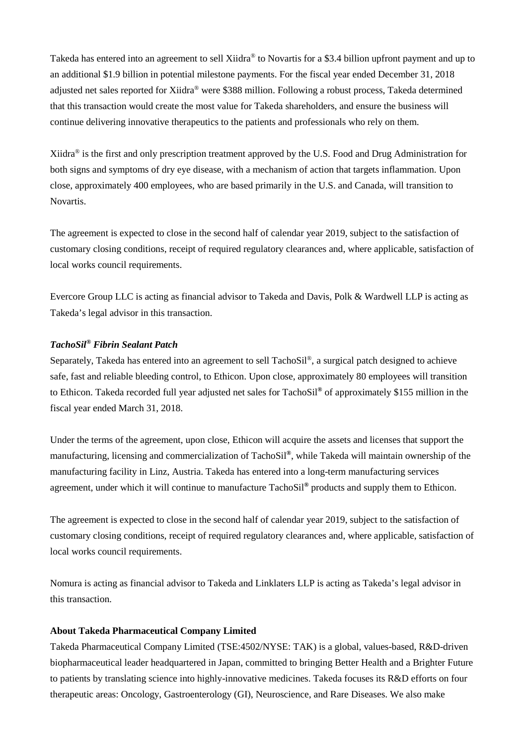Takeda has entered into an agreement to sell Xiidra® to Novartis for a \$3.4 billion upfront payment and up to an additional \$1.9 billion in potential milestone payments. For the fiscal year ended December 31, 2018 adjusted net sales reported for Xiidra® were \$388 million. Following a robust process, Takeda determined that this transaction would create the most value for Takeda shareholders, and ensure the business will continue delivering innovative therapeutics to the patients and professionals who rely on them.

Xiidra® is the first and only prescription treatment approved by the U.S. Food and Drug Administration for both signs and symptoms of dry eye disease, with a mechanism of action that targets inflammation. Upon close, approximately 400 employees, who are based primarily in the U.S. and Canada, will transition to Novartis.

The agreement is expected to close in the second half of calendar year 2019, subject to the satisfaction of customary closing conditions, receipt of required regulatory clearances and, where applicable, satisfaction of local works council requirements.

Evercore Group LLC is acting as financial advisor to Takeda and Davis, Polk & Wardwell LLP is acting as Takeda's legal advisor in this transaction.

### *TachoSil® Fibrin Sealant Patch*

Separately, Takeda has entered into an agreement to sell TachoSil®, a surgical patch designed to achieve safe, fast and reliable bleeding control, to Ethicon. Upon close, approximately 80 employees will transition to Ethicon. Takeda recorded full year adjusted net sales for TachoSil*®* of approximately \$155 million in the fiscal year ended March 31, 2018.

Under the terms of the agreement, upon close, Ethicon will acquire the assets and licenses that support the manufacturing, licensing and commercialization of TachoSil*®*, while Takeda will maintain ownership of the manufacturing facility in Linz, Austria. Takeda has entered into a long-term manufacturing services agreement, under which it will continue to manufacture TachoSil*®* products and supply them to Ethicon.

The agreement is expected to close in the second half of calendar year 2019, subject to the satisfaction of customary closing conditions, receipt of required regulatory clearances and, where applicable, satisfaction of local works council requirements.

Nomura is acting as financial advisor to Takeda and Linklaters LLP is acting as Takeda's legal advisor in this transaction.

#### **About Takeda Pharmaceutical Company Limited**

Takeda Pharmaceutical Company Limited (TSE:4502/NYSE: TAK) is a global, values-based, R&D-driven biopharmaceutical leader headquartered in Japan, committed to bringing Better Health and a Brighter Future to patients by translating science into highly-innovative medicines. Takeda focuses its R&D efforts on four therapeutic areas: Oncology, Gastroenterology (GI), Neuroscience, and Rare Diseases. We also make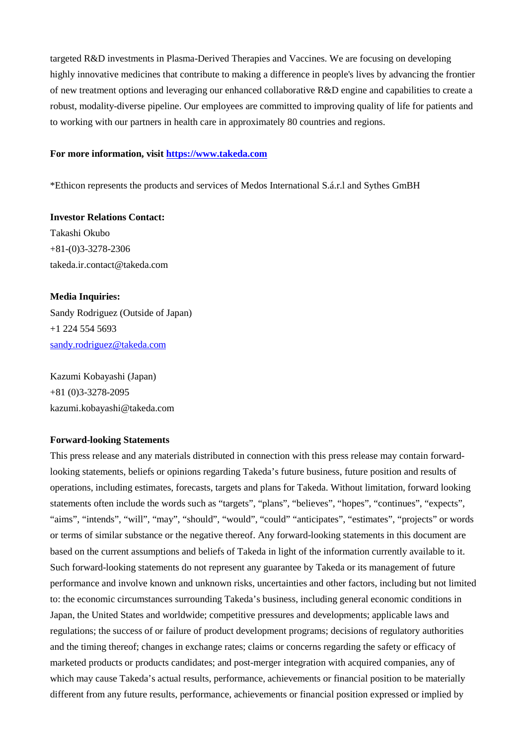targeted R&D investments in Plasma-Derived Therapies and Vaccines. We are focusing on developing highly innovative medicines that contribute to making a difference in people's lives by advancing the frontier of new treatment options and leveraging our enhanced collaborative R&D engine and capabilities to create a robust, modality-diverse pipeline. Our employees are committed to improving quality of life for patients and to working with our partners in health care in approximately 80 countries and regions.

#### **For more information, visit [https://www.takeda.com](https://www.takeda.com/)**

\*Ethicon represents the products and services of Medos International S.á.r.l and Sythes GmBH

**Investor Relations Contact:** Takashi Okubo +81-(0)3-3278-2306 takeda.ir.contact@takeda.com

#### **Media Inquiries:**

Sandy Rodriguez (Outside of Japan) +1 224 554 5693 [sandy.rodriguez@takeda.com](mailto:sandy.rodriguez@takeda.com)

Kazumi Kobayashi (Japan) +81 (0)3-3278-2095 kazumi.kobayashi@takeda.com

#### **Forward-looking Statements**

This press release and any materials distributed in connection with this press release may contain forwardlooking statements, beliefs or opinions regarding Takeda's future business, future position and results of operations, including estimates, forecasts, targets and plans for Takeda. Without limitation, forward looking statements often include the words such as "targets", "plans", "believes", "hopes", "continues", "expects", "aims", "intends", "will", "may", "should", "would", "could" "anticipates", "estimates", "projects" or words or terms of similar substance or the negative thereof. Any forward-looking statements in this document are based on the current assumptions and beliefs of Takeda in light of the information currently available to it. Such forward-looking statements do not represent any guarantee by Takeda or its management of future performance and involve known and unknown risks, uncertainties and other factors, including but not limited to: the economic circumstances surrounding Takeda's business, including general economic conditions in Japan, the United States and worldwide; competitive pressures and developments; applicable laws and regulations; the success of or failure of product development programs; decisions of regulatory authorities and the timing thereof; changes in exchange rates; claims or concerns regarding the safety or efficacy of marketed products or products candidates; and post-merger integration with acquired companies, any of which may cause Takeda's actual results, performance, achievements or financial position to be materially different from any future results, performance, achievements or financial position expressed or implied by